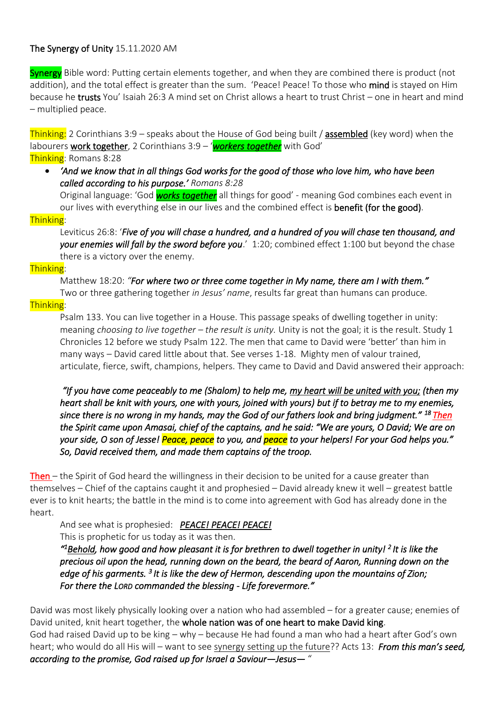# The Synergy of Unity 15.11.2020 AM

Synergy Bible word: Putting certain elements together, and when they are combined there is product (not addition), and the total effect is greater than the sum. 'Peace! Peace! To those who mind is stayed on Him because he trusts You' Isaiah 26:3 A mind set on Christ allows a heart to trust Christ – one in heart and mind – multiplied peace.

Thinking: 2 Corinthians 3:9 – speaks about the House of God being built / assembled (key word) when the labourers work together, 2 Corinthians 3:9 – '*workers together* with God' Thinking: Romans 8:28

• *'And we know that in all things God works for the good of those who love him, who have been called according to his purpose.' Romans 8:28* 

Original language: 'God *works together* all things for good' - meaning God combines each event in our lives with everything else in our lives and the combined effect is benefit (for the good).

### Thinking:

Leviticus 26:8: '*Five of you will chase a hundred, and a hundred of you will chase ten thousand, and your enemies will fall by the sword before you*.' 1:20; combined effect 1:100 but beyond the chase there is a victory over the enemy.

### Thinking:

Matthew 18:20: *"For where two or three come together in My name, there am I with them."* Two or three gathering together *in Jesus' name*, results far great than humans can produce.

## Thinking:

Psalm 133. You can live together in a House. This passage speaks of dwelling together in unity: meaning *choosing to live together – the result is unity.* Unity is not the goal; it is the result. Study 1 Chronicles 12 before we study Psalm 122. The men that came to David were 'better' than him in many ways – David cared little about that. See verses 1-18. Mighty men of valour trained, articulate, fierce, swift, champions, helpers. They came to David and David answered their approach:

 *"If you have come peaceably to me (Shalom) to help me, my heart will be united with you; (then my heart shall be knit with yours, one with yours, joined with yours) but if to betray me to my enemies, since there is no wrong in my hands, may the God of our fathers look and bring judgment." <sup>18</sup>Then the Spirit came upon Amasai, chief of the captains, and he said: "We are yours, O David; We are on your side, O son of Jesse! Peace, peace to you, and peace to your helpers! For your God helps you." So, David received them, and made them captains of the troop.* 

Then – the Spirit of God heard the willingness in their decision to be united for a cause greater than themselves – Chief of the captains caught it and prophesied – David already knew it well – greatest battle ever is to knit hearts; the battle in the mind is to come into agreement with God has already done in the heart.

And see what is prophesied: *PEACE! PEACE! PEACE!* 

This is prophetic for us today as it was then.

*" <sup>1</sup>Behold, how good and how pleasant it is for brethren to dwell together in unity! 2 It is like the precious oil upon the head, running down on the beard, the beard of Aaron, Running down on the*  edge of his garments. <sup>3</sup> It is like the dew of Hermon, descending upon the mountains of Zion; *For there the LORD commanded the blessing - Life forevermore."* 

David was most likely physically looking over a nation who had assembled – for a greater cause; enemies of David united, knit heart together, the whole nation was of one heart to make David king. God had raised David up to be king – why – because He had found a man who had a heart after God's own heart; who would do all His will – want to see synergy setting up the future?? Acts 13: *From this man's seed, according to the promise, God raised up for Israel a Saviour—Jesus—* "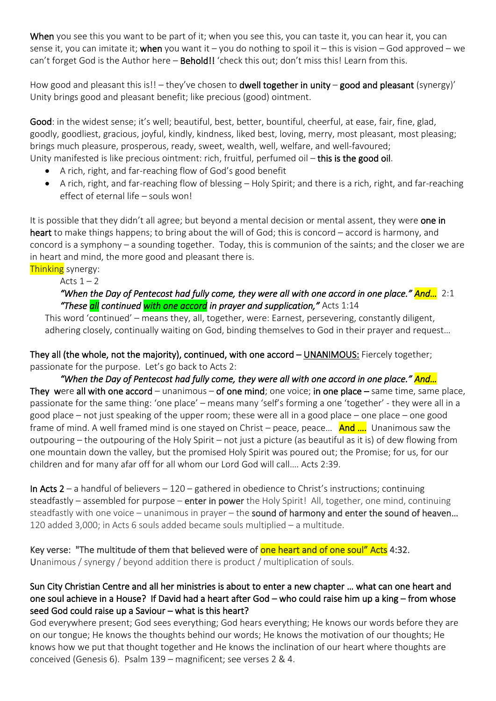When you see this you want to be part of it; when you see this, you can taste it, you can hear it, you can sense it, you can imitate it; when you want it – you do nothing to spoil it – this is vision – God approved – we can't forget God is the Author here – **Behold!!** 'check this out; don't miss this! Learn from this.

How good and pleasant this is!! – they've chosen to dwell together in unity – good and pleasant (synergy)' Unity brings good and pleasant benefit; like precious (good) ointment.

Good: in the widest sense; it's well; beautiful, best, better, bountiful, cheerful, at ease, fair, fine, glad, goodly, goodliest, gracious, joyful, kindly, kindness, liked best, loving, merry, most pleasant, most pleasing; brings much pleasure, prosperous, ready, sweet, wealth, well, welfare, and well-favoured; Unity manifested is like precious ointment: rich, fruitful, perfumed oil - this is the good oil.

- A rich, right, and far-reaching flow of God's good benefit
- A rich, right, and far-reaching flow of blessing Holy Spirit; and there is a rich, right, and far-reaching effect of eternal life – souls won!

It is possible that they didn't all agree; but beyond a mental decision or mental assent, they were one in heart to make things happens; to bring about the will of God; this is concord – accord is harmony, and concord is a symphony – a sounding together. Today, this is communion of the saints; and the closer we are in heart and mind, the more good and pleasant there is.

**Thinking** synergy:

Acts  $1 - 2$ 

## *"When the Day of Pentecost had fully come, they were all with one accord in one place." And…* 2:1 *"These all continued with one accord in prayer and supplication,"* Acts 1:14

This word 'continued' – means they, all, together, were: Earnest, persevering, constantly diligent, adhering closely, continually waiting on God, binding themselves to God in their prayer and request…

They all (the whole, not the majority), continued, with one accord – UNANIMOUS: Fiercely together; passionate for the purpose. Let's go back to Acts 2:

*"When the Day of Pentecost had fully come, they were all with one accord in one place." And…*  They were all with one accord – unanimous – of one mind; one voice; in one place – same time, same place, passionate for the same thing: 'one place' – means many 'self's forming a one 'together' - they were all in a good place – not just speaking of the upper room; these were all in a good place – one place – one good frame of mind. A well framed mind is one stayed on Christ – peace, peace...  $\Delta$ nd .... Unanimous saw the outpouring – the outpouring of the Holy Spirit – not just a picture (as beautiful as it is) of dew flowing from one mountain down the valley, but the promised Holy Spirit was poured out; the Promise; for us, for our children and for many afar off for all whom our Lord God will call…. Acts 2:39.

In Acts  $2 - a$  handful of believers  $-120 - g$ athered in obedience to Christ's instructions; continuing steadfastly – assembled for purpose – enter in power the Holy Spirit! All, together, one mind, continuing steadfastly with one voice – unanimous in prayer – the sound of harmony and enter the sound of heaven... 120 added 3,000; in Acts 6 souls added became souls multiplied – a multitude.

Key verse: "The multitude of them that believed were of one heart and of one soul" Acts 4:32. Unanimous / synergy / beyond addition there is product / multiplication of souls.

# Sun City Christian Centre and all her ministries is about to enter a new chapter … what can one heart and one soul achieve in a House? If David had a heart after God – who could raise him up a king – from whose seed God could raise up a Saviour – what is this heart?

God everywhere present; God sees everything; God hears everything; He knows our words before they are on our tongue; He knows the thoughts behind our words; He knows the motivation of our thoughts; He knows how we put that thought together and He knows the inclination of our heart where thoughts are conceived (Genesis 6). Psalm 139 – magnificent; see verses 2 & 4.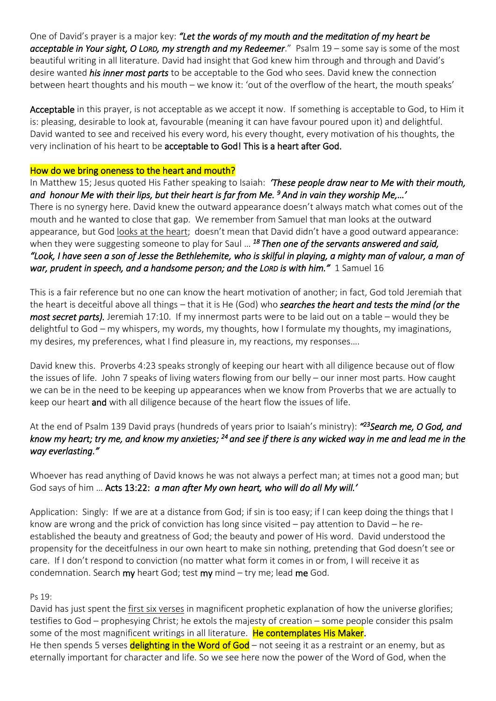One of David's prayer is a major key: *"Let the words of my mouth and the meditation of my heart be acceptable in Your sight, O LORD, my strength and my Redeemer*." Psalm 19 – some say is some of the most beautiful writing in all literature. David had insight that God knew him through and through and David's desire wanted *his inner most parts* to be acceptable to the God who sees. David knew the connection between heart thoughts and his mouth – we know it: 'out of the overflow of the heart, the mouth speaks'

Acceptable in this prayer, is not acceptable as we accept it now. If something is acceptable to God, to Him it is: pleasing, desirable to look at, favourable (meaning it can have favour poured upon it) and delightful. David wanted to see and received his every word, his every thought, every motivation of his thoughts, the very inclination of his heart to be acceptable to God! This is a heart after God.

## How do we bring oneness to the heart and mouth?

In Matthew 15; Jesus quoted His Father speaking to Isaiah: *'These people draw near to Me with their mouth, and honour Me with their lips, but their heart is far from Me. <sup>9</sup>And in vain they worship Me,…'*  There is no synergy here. David knew the outward appearance doesn't always match what comes out of the mouth and he wanted to close that gap. We remember from Samuel that man looks at the outward appearance, but God looks at the heart; doesn't mean that David didn't have a good outward appearance: when they were suggesting someone to play for Saul … *<sup>18</sup>Then one of the servants answered and said, "Look, I have seen a son of Jesse the Bethlehemite, who is skilful in playing, a mighty man of valour, a man of war, prudent in speech, and a handsome person; and the LORD is with him.<sup><i>"*</sup> 1 Samuel 16</sup>

This is a fair reference but no one can know the heart motivation of another; in fact, God told Jeremiah that the heart is deceitful above all things – that it is He (God) who *searches the heart and tests the mind (or the most secret parts).* Jeremiah 17:10. If my innermost parts were to be laid out on a table – would they be delightful to God – my whispers, my words, my thoughts, how I formulate my thoughts, my imaginations, my desires, my preferences, what I find pleasure in, my reactions, my responses….

David knew this. Proverbs 4:23 speaks strongly of keeping our heart with all diligence because out of flow the issues of life. John 7 speaks of living waters flowing from our belly – our inner most parts. How caught we can be in the need to be keeping up appearances when we know from Proverbs that we are actually to keep our heart and with all diligence because of the heart flow the issues of life.

At the end of Psalm 139 David prays (hundreds of years prior to Isaiah's ministry): *" <sup>23</sup>Search me, O God, and know my heart; try me, and know my anxieties; <sup>24</sup>and see if there is any wicked way in me and lead me in the way everlasting."* 

Whoever has read anything of David knows he was not always a perfect man; at times not a good man; but God says of him … Acts 13:22: *a man after My own heart, who will do all My will.'* 

Application: Singly: If we are at a distance from God; if sin is too easy; if I can keep doing the things that I know are wrong and the prick of conviction has long since visited – pay attention to David – he reestablished the beauty and greatness of God; the beauty and power of His word. David understood the propensity for the deceitfulness in our own heart to make sin nothing, pretending that God doesn't see or care. If I don't respond to conviction (no matter what form it comes in or from, I will receive it as condemnation. Search  $my$  heart God; test  $my$  mind  $-$  try me; lead me God.

### Ps 19:

David has just spent the first six verses in magnificent prophetic explanation of how the universe glorifies; testifies to God – prophesying Christ; he extols the majesty of creation – some people consider this psalm some of the most magnificent writings in all literature. He contemplates His Maker. He then spends 5 verses delighting in the Word of God – not seeing it as a restraint or an enemy, but as eternally important for character and life. So we see here now the power of the Word of God, when the